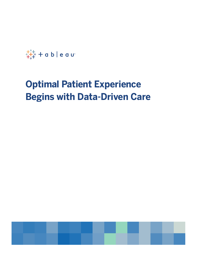$+\frac{1}{1+1}$  + a b | e a u

# **Optimal Patient Experience Begins with Data-Driven Care**

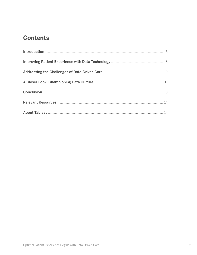# **Contents**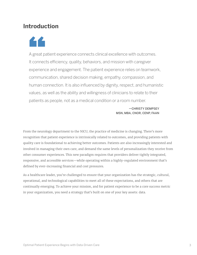## **Introduction**

44

A great patient experience connects clinical excellence with outcomes. It connects efficiency, quality, behaviors, and mission with caregiver experience and engagement. The patient experience relies on teamwork, communication, shared decision making, empathy, compassion, and human connection. It is also influenced by dignity, respect, and humanistic values, as well as the ability and willingness of clinicians to relate to their patients as people, not as a medical condition or a room number.

#### —CHRISTY DEMPSEY MSN, MBA, CNOR, CENP, FAAN

From the neurology department to the NICU, the practice of medicine is changing. There's more recognition that patient experience is intrinsically related to outcomes, and providing patients with quality care is foundational to achieving better outcomes. Patients are also increasingly interested and involved in managing their own care, and demand the same levels of personalization they receive from other consumer experiences. This new paradigm requires that providers deliver tightly integrated, responsive, and accessible services—while operating within a highly-regulated environment that's defined by ever-increasing financial and cost pressures.

As a healthcare leader, you're challenged to ensure that your organization has the strategic, cultural, operational, and technological capabilities to meet all of these expectations, and others that are continually emerging. To achieve your mission, and for patient experience to be a core success metric in your organization, you need a strategy that's built on one of your key assets: data.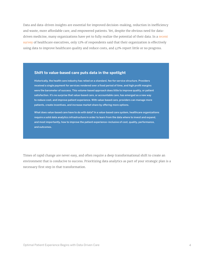Data and data-driven insights are essential for improved decision-making, reduction in inefficiency and waste, more affordable care, and empowered patients. Yet, despite the obvious need for datadriven medicine, many organizations have yet to fully realize the potential of their data. In a [recent](https://www.managedhealthcareexecutive.com/article/top-4-challenges-healthcare-executives-face-2019/page/0/3)  [survey](https://www.managedhealthcareexecutive.com/article/top-4-challenges-healthcare-executives-face-2019/page/0/3) of healthcare executives, only 12% of respondents said that their organization is effectively using data to improve healthcare quality and reduce costs, and 42% report little or no progress.

#### **Shift to value-based care puts data in the spotlight**

Historically, the health care industry has relied on a standard, fee-for-service structure. Providers received a single payment for services rendered over a fixed period of time, and high profit margins were the barometer of success. This volume-based approach does little to improve quality, or patient satisfaction. It's no surprise that value-based care, or accountable care, has emerged as a new way to reduce cost, and improve patient experience. With value-based care, providers can manage more patients, create incentives, and increase market share by offering more options.

What does value-based care have to do with data? In a value-based care system, healthcare organizations require a solid data analytics infrastructure in order to learn from the data where to invest and expand, and most importantly, how to improve the patient experience–inclusive of cost, quality, performance, and outcomes.

Times of rapid change are never easy, and often require a deep transformational shift to create an environment that is conducive to success. Prioritizing data analytics as part of your strategic plan is a necessary first step in that transformation.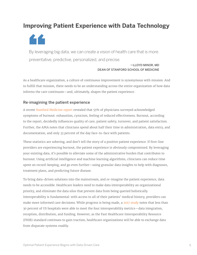# **Improving Patient Experience with Data Technology**

44

By leveraging big data, we can create a vision of health care that is more preventative, predictive, personalized, and precise.

> —LLOYD MINOR, MD DEAN OF STANFORD SCHOOL OF MEDICINE

As a healthcare organization, a culture of continuous improvement is synonymous with mission. And to fulfill that mission, there needs to be an understanding across the entire organization of how data informs the care continuum—and, ultimately, shapes the patient experience.

### Re-imagining the patient experience

A recent [Stanford Medicine report](https://med.stanford.edu/content/dam/sm/school/documents/Health-Trends-Report/Stanford-Medicine-Health-Trends-Report-2018.pdf) revealed that 55% of physicians surveyed acknowledged symptoms of burnout: exhaustion, cynicism, feeling of reduced effectiveness. Burnout, according to the report, decidedly influences quality of care, patient safety, turnover, and patient satisfaction. Further, the AMA notes that clinicians spend about half their time in administration, data entry, and documentation, and only 33 percent of the day face-to-face with patients.

These statistics are sobering, and don't tell the story of a positive patient experience. If first-line providers are experiencing burnout, the patient experience is obviously compromised. By leveraging your existing data, it's possible to alleviate some of the administrative burden that contributes to burnout. Using artificial intelligence and machine learning algorithms, clinicians can reduce time spent on record-keeping, and go even further—using granular data insights to help with diagnoses, treatment plans, and predicting future disease.

To bring data-driven solutions into the mainstream, and re-imagine the patient experience, data needs to be accessible. Healthcare leaders need to make data interoperability an organizational priority, and eliminate the data silos that prevent data from being queried holistically. Interoperability is fundamental: with access to all of their patients' medical history, providers can make more informed care decisions. While progress is being made, a [2017 study](https://www.ncbi.nlm.nih.gov/pubmed/28971929) notes that less than 30 percent of US hospitals were able to meet the four interoperability metrics—data integration, reception, distribution, and funding. However, as the Fast Healthcare Interoperability Resource (FHIR) standard continues to gain traction, healthcare organizations will be able to exchange data from disparate systems readily.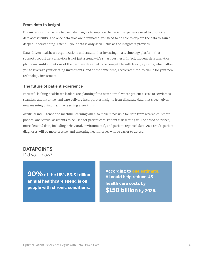### From data to insight

Organizations that aspire to use data insights to improve the patient experience need to prioritize data accessibility. And once data silos are eliminated, you need to be able to explore the data to gain a deeper understanding. After all, your data is only as valuable as the insights it provides.

Data-driven healthcare organizations understand that investing in a technology platform that supports robust data analytics is not just a trend—it's smart business. In fact, modern data analytics platforms, unlike solutions of the past, are designed to be compatible with legacy systems, which allow you to leverage your existing investments, and at the same time, accelerate time-to-value for your new technology investment.

### The future of patient experience

Forward-looking healthcare leaders are planning for a new normal where patient access to services is seamless and intuitive, and care delivery incorporates insights from disparate data that's been given new meaning using machine learning algorithms.

Artificial intelligence and machine learning will also make it possible for data from wearables, smart phones, and virtual assistants to be used for patient care. Patient risk scoring will be based on richer, more detailed data, including behavioral, environmental, and patient-reported data. As a result, patient diagnoses will be more precise, and emerging health issues will be easier to detect.

## **DATAPOINTS**

Did you know?

**90% of the US's \$3.3 trillion annual healthcare spend is on people with chronic conditions.**

**According to [one estimate,](https://www.accenture.com/us-en/insights/artificial-intelligence-index) AI could help reduce US health care costs by \$150 billion by 2026.**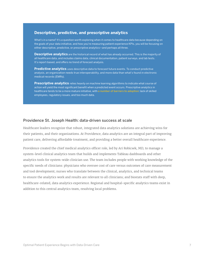### **Descriptive, predictive, and prescriptive analytics**

What's in a name? It's a question worth exploring when it comes to healthcare data because depending on the goals of your data initiative, and how you're measuring patient experience KPIs, you will be focusing on either descriptive, predictive, or prescriptive analytics—and perhaps all three.

**Descriptive analytics** are the historical record of what has already occurred. This is the majority of all healthcare data, and includes claims data, clinical documentation, patient surveys, and lab tests. It's report-based, and offers no trend of forecast analysis.

**Predictive analytics** uses descriptive data to forecast future events. To conduct predictive analysis, an organization needs true interoperability, and more data than what's found in electronic medical records (EMRs).

**Prescriptive analytics** relies heavily on machine learning algorithms to indicate what course of action will yield the most significant benefit when a predicted event occurs. Prescriptive analytics in healthcare tends to be a more mature initiative, with [a number of barriers to adoption](https://www.soa.org/globalassets/assets/Files/programs/predictive-analytics/2019-health-care-trend.pdf): lack of skilled employees, regulatory issues, and too much data.

#### Providence St. Joseph Health: data-driven success at scale

Healthcare leaders recognize that robust, integrated data analytics solutions are achieving wins for their patients, and their organizations. At Providence, data analytics are an integral part of improving patient care, delivering affordable treatment, and providing a better overall healthcare experience.

Providence created the chief medical analytics officer role, led by Ari Robicsek, MD, to manage a system-level clinical analytics team that builds and implements Tableau dashboards and other analytics tools for system-wide clinician use. The team includes people with working knowledge of the specific needs of clinicians: physicians who oversee cost of care versus outcomes of care measurement and tool development; nurses who translate between the clinical, analytics, and technical teams to ensure the analytics work and results are relevant to all clinicians; and biostats staff with deep, healthcare-related, data analytics experience. Regional and hospital-specific analytics teams exist in addition to this central analytics team, resolving local problems.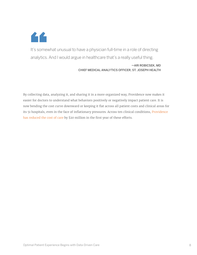

It's somewhat unusual to have a physician full-time in a role of directing analytics. And I would argue in healthcare that's a really useful thing.

#### —ARI ROBICSEK, MD CHIEF MEDICAL ANALYTICS OFFICER, ST. JOSEPH HEALTH

By collecting data, analyzing it, and sharing it in a more organized way, Providence now makes it easier for doctors to understand what behaviors positively or negatively impact patient care. It is now bending the cost curve downward or keeping it flat across all patient costs and clinical areas for its 51 hospitals, even in the face of inflationary pressures. Across ten clinical conditions, Providence [has reduced the cost of care](https://www.tableau.com/solutions/customer/providence-caregivers-improve-care-reduce-patient-costs-with-Tableau) by \$20 million in the first year of these efforts.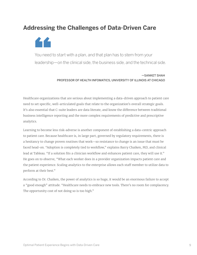# **Addressing the Challenges of Data-Driven Care**

££

You need to start with a plan, and that plan has to stem from your leadership—on the clinical side, the business side, and the technical side.

> —SANKET SHAH PROFESSOR OF HEALTH INFOMATICS, UNIVERSITY OF ILLINOIS AT CHICAGO

Healthcare organizations that are serious about implementing a data-driven approach to patient care need to set specific, well-articulated goals that relate to the organization's overall strategic goals. It's also essential that C-suite leaders are data literate, and know the difference between traditional business intelligence reporting and the more complex requirements of predictive and prescriptive analytics.

Learning to become less risk-adverse is another component of establishing a data-centric approach to patient care. Because healthcare is, in large part, governed by regulatory requirements, there is a hesitancy to change proven routines that work—so resistance to change is an issue that must be faced head-on. "Adoption is completely tied to workflow," explains Barry Chaiken, MD, and clinical lead at Tableau. "If a solution fits a clinician workflow and enhances patient care, they will use it." He goes on to observe, "What each worker does in a provider organization impacts patient care and the patient experience. Scaling analytics to the enterprise allows each staff member to utilize data to perform at their best."

According to Dr. Chaiken, the power of analytics is so huge, it would be an enormous failure to accept a "good enough" attitude. "Healthcare needs to embrace new tools. There's no room for complacency. The opportunity cost of not doing so is too high."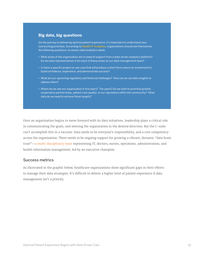#### **Big data, big questions**

On the journey to delivering optimal patient experience, it's important to understand your overarching priorities. According to [Health IT Analytics](https://healthitanalytics.com/features/turning-healthcare-big-data-into-actionable-clinical-intelligence), organizations should ask themselves the following questions, to assess data analytics needs.

- What areas of the organization are in need of support from a data-driven analytics platform? Do we have representatives from each of these areas on our data management team?
- Is there a specific project or use case that will produce a short-term return on investment to build confidence, experience, and demonstrate success?
- What are our upcoming regulatory and financial challenges? How can we use data insights to address them?
- Where do we see our organization in five years? Ten years? Do we want to prioritize growth, cooperative partnerships, patient care quality, or our reputation within the community? What data do we need to achieve those targets?

Once an organization begins to move forward with its data initiatives, leadership plays a critical role in communicating the goals, and steering the organization in the desired direction. But the C-suite can't accomplish this in a vacuum. Data needs to be everyone's responsibility, and a core competency across the organization. There needs to be ongoing support for growing a vibrant, dynamic "data brain trust"—[a multi-disciplinary team](https://healthitanalytics.com/features/turning-healthcare-big-data-into-actionable-clinical-intelligence) representing IT, doctors, nurses, operations, administration, and health information management, led by an executive champion.

#### Success metrics

As illustrated in the graphic below, healthcare organizations show significant gaps in their efforts to manage their data strategies. It's difficult to deliver a higher level of patient experience if data management isn't a priority.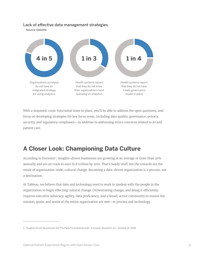#### Lack of effective data management strategies

Source: Deloitte



With a seasoned, cross-functional team in place, you'll be able to address the open questions, and focus on developing strategies for key focus areas, including data quality, governance, privacy, security, and regulatory compliance—in addition to addressing ethics concerns related to AI and patient care.

# **A Closer Look: Championing Data Culture**

According to Forrester<sup>1</sup>, insights-driven businesses are growing at an average of more than 30% annually and are on track to earn \$1.8 trillion by 2021. That's heady stuff, but the rewards are the result of organization-wide, cultural change. Becoming a data-driven organization is a process, not a destination.

At Tableau, we believe that data and technology need to work in tandem with the people in the organization to begin effecting cultural change. Orchestrating change, and doing it efficiently, requires executive advocacy, agility, data proficiency, and a broad, active community to ensure the mission, goals, and needs of the entire organization are met—in process and technology.

<sup>1. &</sup>quot;Insights-Driven Businesses Set The Pace For Global Growth", Forrester Research, Inc., October 19, 2018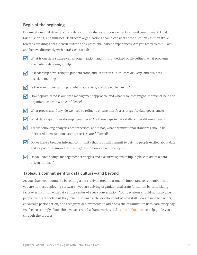### Begin at the beginning

Organizations that develop strong data cultures share common elements around commitment, trust, talent, sharing, and mindset. Healthcare organizations should consider these questions as they strive towards building a data-driven culture and exceptional patient experiences. Are you ready to think, act, and behave differently with data? Get started:

- 
- What is our data strategy as an organization, and if it's undefined or ill-defined, what problems exist where data might help?
- $\triangledown$  Is leadership advocating to put data front-and-center in clinical care delivery, and business decision-making?
- $\blacksquare$  Is there an understanding of what data exists, and do people trust it?
- How sophisticated is our data management approach, and what resources might improve or help the organization scale with confidence?
- What processes, if any, do we need to refine to ensure there's a strategy for data governance?
- What data capabilities do employees have? Are there gaps in data skills across different levels?
- Are we following analytics best practices, and if not, what organizational standards should be instituted to ensure consistent practices are followed?
- Do we have a broader internal community that is or will commit to getting people excited about data and its potential impact on the org? If not, how can we develop it?
- $\mathcal{\overline{V}}$  Do you have change management strategies and executive sponsorship in place to adopt a datadriven mindset?

### Tableau's commitment to data culture—and beyond

As you chart your course to becoming a data-driven organization, it's important to remember that you are not just deploying software—you are driving organizational transformation by prioritizing facts over intuition with data at the center of every conversation. Your decisions should not only give people the right tools, but they must also enable the development of new skills, create new behaviors, encourage participation, and recognize achievements to alter how the organization uses data every day. We feel so strongly about this, we've created a framework called [Tableau Blueprint](https://help.tableau.com/current/blueprint/en-us/bp_overview.htm) to help guide you through the process.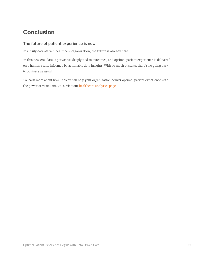# **Conclusion**

### The future of patient experience is now

In a truly data-driven healthcare organization, the future is already here.

In this new era, data is pervasive, deeply tied to outcomes, and optimal patient experience is delivered on a human scale, informed by actionable data insights. With so much at stake, there's no going back to business as usual.

To learn more about how Tableau can help your organization deliver optimal patient experience with the power of visual analytics, visit our [healthcare analytics page.](https://www.tableau.com/solutions/healthcare-analytics)